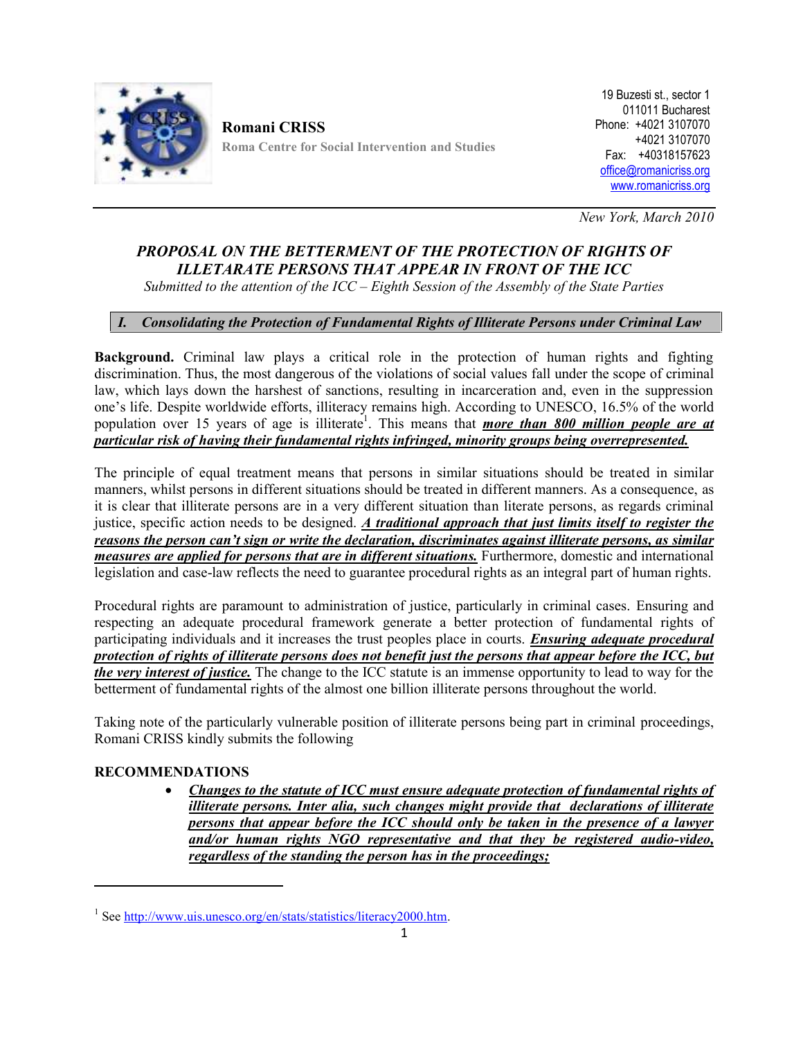

**Romani CRISS Roma Centre for Social Intervention and Studies**

19 Buzesti st., sector 1 011011 Bucharest Phone: +4021 3107070 +4021 3107070 Fax: +40318157623 office@romanicriss.org www.romanicriss.org

*New York, March 2010*

# *PROPOSAL ON THE BETTERMENT OF THE PROTECTION OF RIGHTS OF ILLETARATE PERSONS THAT APPEAR IN FRONT OF THE ICC*

*Submitted to the attention of the ICC – Eighth Session of the Assembly of the State Parties*

# *I. Consolidating the Protection of Fundamental Rights of Illiterate Persons under Criminal Law*

**Background.** Criminal law plays a critical role in the protection of human rights and fighting discrimination. Thus, the most dangerous of the violations of social values fall under the scope of criminal law, which lays down the harshest of sanctions, resulting in incarceration and, even in the suppression one's life. Despite worldwide efforts, illiteracy remains high. According to UNESCO, 16.5% of the world population over 15 years of age is illiterate<sup>1</sup>. This means that *more than 800 million people are at particular risk of having their fundamental rights infringed, minority groups being overrepresented.*

The principle of equal treatment means that persons in similar situations should be treated in similar manners, whilst persons in different situations should be treated in different manners. As a consequence, as it is clear that illiterate persons are in a very different situation than literate persons, as regards criminal justice, specific action needs to be designed. *A traditional approach that just limits itself to register the reasons the person can't sign or write the declaration, discriminates against illiterate persons, as similar measures are applied for persons that are in different situations.* Furthermore, domestic and international legislation and case-law reflects the need to guarantee procedural rights as an integral part of human rights.

Procedural rights are paramount to administration of justice, particularly in criminal cases. Ensuring and respecting an adequate procedural framework generate a better protection of fundamental rights of participating individuals and it increases the trust peoples place in courts. *Ensuring adequate procedural protection of rights of illiterate persons does not benefit just the persons that appear before the ICC, but the very interest of justice.* The change to the ICC statute is an immense opportunity to lead to way for the betterment of fundamental rights of the almost one billion illiterate persons throughout the world.

Taking note of the particularly vulnerable position of illiterate persons being part in criminal proceedings, Romani CRISS kindly submits the following

# **RECOMMENDATIONS**

 *Changes to the statute of ICC must ensure adequate protection of fundamental rights of illiterate persons. Inter alia, such changes might provide that declarations of illiterate persons that appear before the ICC should only be taken in the presence of a lawyer and/or human rights NGO representative and that they be registered audio-video, regardless of the standing the person has in the proceedings;*

<sup>&</sup>lt;sup>1</sup> See http://www.uis.unesco.org/en/stats/statistics/literacy2000.htm.